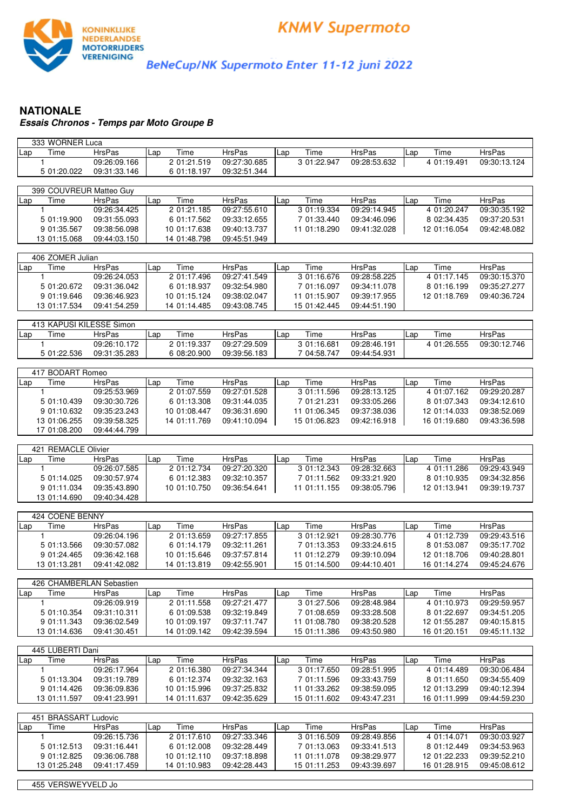

BeNeCup/NK Supermoto Enter 11-12 juni 2022

## **NATIONALE Essais Chronos - Temps par Moto Groupe B**

| 333 WORNER Luca                |               |              |               |              |               |              |               |
|--------------------------------|---------------|--------------|---------------|--------------|---------------|--------------|---------------|
| Time<br>Lap                    | <b>HrsPas</b> | Time<br>Lap  | HrsPas        | Time<br>Lap  | <b>HrsPas</b> | Time<br>Lap  | HrsPas        |
| 1                              | 09:26:09.166  | 201:21.519   | 09:27:30.685  | 3 01:22.947  | 09:28:53.632  | 4 01:19.491  | 09:30:13.124  |
| 5 01:20.022                    | 09:31:33.146  | 6 01:18.197  | 09:32:51.344  |              |               |              |               |
|                                |               |              |               |              |               |              |               |
| 399 COUVREUR Matteo Guy        |               |              |               |              |               |              |               |
| Time<br>Lap                    | <b>HrsPas</b> | Time<br>Lap  | <b>HrsPas</b> | Time<br>Lap  | <b>HrsPas</b> | Time<br>Lap  | HrsPas        |
| 1                              | 09:26:34.425  | 2 01:21.185  | 09:27:55.610  | 3 01:19.334  | 09:29:14.945  | 4 01:20.247  | 09:30:35.192  |
| 5 01:19.900                    | 09:31:55.093  | 6 01:17.562  | 09:33:12.655  | 7 01:33.440  | 09:34:46.096  | 8 02:34.435  | 09:37:20.531  |
| 9 01:35.567                    | 09:38:56.098  | 10 01:17.638 | 09:40:13.737  | 11 01:18.290 | 09:41:32.028  | 12 01:16.054 | 09:42:48.082  |
| 13 01:15.068                   | 09:44:03.150  | 14 01:48.798 | 09:45:51.949  |              |               |              |               |
|                                |               |              |               |              |               |              |               |
| 406 ZOMER Julian               |               |              |               |              |               |              |               |
| Time<br>Lap                    | <b>HrsPas</b> | Time<br>Lap  | <b>HrsPas</b> | Time<br>Lap  | <b>HrsPas</b> | Time<br>Lap  | HrsPas        |
| 1                              | 09:26:24.053  | 2 01:17.496  | 09:27:41.549  | 3 01:16.676  | 09:28:58.225  | 4 01:17.145  | 09:30:15.370  |
| 5 01:20.672                    | 09:31:36.042  | 6 01:18.937  | 09:32:54.980  | 7 01:16.097  | 09:34:11.078  | 8 01:16.199  | 09:35:27.277  |
|                                |               |              |               |              |               |              |               |
| 9 01:19.646                    | 09:36:46.923  | 10 01:15.124 | 09:38:02.047  | 11 01:15.907 | 09:39:17.955  | 12 01:18.769 | 09:40:36.724  |
| 13 01:17.534                   | 09:41:54.259  | 14 01:14.485 | 09:43:08.745  | 15 01:42.445 | 09:44:51.190  |              |               |
|                                |               |              |               |              |               |              |               |
| 413 KAPUSI KILESSE Simon       |               |              |               |              |               |              |               |
| Time<br>Lap                    | <b>HrsPas</b> | Time<br>Lap  | <b>HrsPas</b> | Time<br>Lap  | <b>HrsPas</b> | Time<br>Lap  | <b>HrsPas</b> |
| $\mathbf{1}$                   | 09:26:10.172  | 2 01:19.337  | 09:27:29.509  | 3 01:16.681  | 09:28:46.191  | 4 01:26.555  | 09:30:12.746  |
| 5 01:22.536                    | 09:31:35.283  | 6 08:20.900  | 09:39:56.183  | 7 04:58.747  | 09:44:54.931  |              |               |
|                                |               |              |               |              |               |              |               |
| 417 BODART Romeo               |               |              |               |              |               |              |               |
| Time<br>Lap                    | <b>HrsPas</b> | Time<br>Lap  | <b>HrsPas</b> | Time<br>Lap  | <b>HrsPas</b> | Time<br>Lap  | <b>HrsPas</b> |
| 1.                             | 09:25:53.969  | 2 01:07.559  | 09:27:01.528  | 3 01:11.596  | 09:28:13.125  | 4 01:07.162  | 09:29:20.287  |
| 5 01:10.439                    | 09:30:30.726  | 6 01:13.308  | 09:31:44.035  | 7 01:21.231  | 09:33:05.266  | 8 01:07.343  | 09:34:12.610  |
| 9 01:10.632                    | 09:35:23.243  | 10 01:08.447 | 09:36:31.690  | 11 01:06.345 | 09:37:38.036  | 12 01:14.033 | 09:38:52.069  |
| 13 01:06.255                   | 09:39:58.325  | 14 01:11.769 | 09:41:10.094  | 15 01:06.823 | 09:42:16.918  | 16 01:19.680 | 09:43:36.598  |
| 17 01:08.200                   | 09:44:44.799  |              |               |              |               |              |               |
|                                |               |              |               |              |               |              |               |
|                                |               |              |               |              |               |              |               |
| 421 REMACLE Olivier            |               |              |               |              |               |              |               |
| Time<br>Lap                    | <b>HrsPas</b> | Time<br>Lap  | HrsPas        | Time<br>Lap  | <b>HrsPas</b> | Time<br>Lap  | <b>HrsPas</b> |
| 1                              | 09:26:07.585  | 2 01:12.734  | 09:27:20.320  | 3 01:12.343  | 09:28:32.663  | 4 01:11.286  | 09:29:43.949  |
| 5 01:14.025                    | 09:30:57.974  | 6 01:12.383  | 09:32:10.357  | 7 01:11.562  | 09:33:21.920  | 8 01:10.935  | 09:34:32.856  |
| 9 01:11.034                    | 09:35:43.890  | 10 01:10.750 | 09:36:54.641  | 11 01:11.155 | 09:38:05.796  | 12 01:13.941 | 09:39:19.737  |
| 13 01:14.690                   | 09:40:34.428  |              |               |              |               |              |               |
|                                |               |              |               |              |               |              |               |
| 424 COENE BENNY                |               |              |               |              |               |              |               |
| Time<br>Lap                    | <b>HrsPas</b> | Lap          |               | Time<br>Lap  | <b>HrsPas</b> | Time<br>Lap  | <b>HrsPas</b> |
| 1                              |               | Time         | <b>HrsPas</b> |              |               |              | 09:29:43.516  |
|                                | 09:26:04.196  | 2 01:13.659  | 09:27:17.855  | 3 01:12.921  | 09:28:30.776  | 4 01:12.739  |               |
| 5 01:13.566                    | 09:30:57.082  | 6 01:14.179  | 09:32:11.261  | 7 01:13.353  | 09:33:24.615  | 8 01:53.087  | 09:35:17.702  |
| 9 01:24.465                    | 09:36:42.168  | 10 01:15.646 | 09:37:57.814  | 11 01:12.279 | 09:39:10.094  | 12 01:18.706 | 09:40:28.801  |
| 13 01:13.281                   | 09:41:42.082  | 14 01:13.819 | 09:42:55.901  | 15 01:14.500 | 09:44:10.401  | 16 01:14.274 | 09:45:24.676  |
|                                |               |              |               |              |               |              |               |
| 426 CHAMBERLAN Sebastien       |               |              |               |              |               |              |               |
| Time<br>Lap                    | <b>HrsPas</b> | Time<br>Lap  | HrsPas        | Time<br>Lap  | <b>HrsPas</b> | Time<br>Lap  | HrsPas        |
| 1                              | 09:26:09.919  | 2 01:11.558  | 09:27:21.477  | 3 01:27.506  | 09:28:48.984  | 4 01:10.973  | 09:29:59.957  |
| 5 01:10.354                    | 09:31:10.311  | 6 01:09.538  | 09:32:19.849  | 7 01:08.659  | 09:33:28.508  | 8 01:22.697  | 09:34:51.205  |
| 9 01:11.343                    | 09:36:02.549  | 10 01:09.197 | 09:37:11.747  | 11 01:08.780 | 09:38:20.528  | 12 01:55.287 | 09:40:15.815  |
| 13 01:14.636                   | 09:41:30.451  | 14 01:09.142 | 09:42:39.594  | 15 01:11.386 | 09:43:50.980  | 16 01:20.151 | 09:45:11.132  |
|                                |               |              |               |              |               |              |               |
| 445 LUBERTI Dani               |               |              |               |              |               |              |               |
| Time<br>Lap                    | <b>HrsPas</b> | Time<br>Lap  | <b>HrsPas</b> | Time<br>Lap  | <b>HrsPas</b> | Time<br>Lap  | HrsPas        |
| 1                              | 09:26:17.964  | 2 01:16.380  | 09:27:34.344  | 3 01:17.650  | 09:28:51.995  | 4 01:14.489  | 09:30:06.484  |
| 5 01:13.304                    | 09:31:19.789  | 6 01:12.374  | 09:32:32.163  | 7 01:11.596  | 09:33:43.759  | 8 01:11.650  | 09:34:55.409  |
| 9 01:14.426                    | 09:36:09.836  | 10 01:15.996 | 09:37:25.832  | 11 01:33.262 | 09:38:59.095  | 12 01:13.299 | 09:40:12.394  |
| 13 01:11.597                   | 09:41:23.991  | 14 01:11.637 | 09:42:35.629  | 15 01:11.602 | 09:43:47.231  | 16 01:11.999 | 09:44:59.230  |
|                                |               |              |               |              |               |              |               |
| 451<br><b>BRASSART Ludovic</b> |               |              |               |              |               |              |               |
| Time<br>Lap                    | <b>HrsPas</b> | Time<br>Lap  | HrsPas        | Time<br>Lap  | HrsPas        | Time<br>Lap  | <b>HrsPas</b> |
| 1                              | 09:26:15.736  | 2 01:17.610  | 09:27:33.346  | 3 01:16.509  | 09:28:49.856  | 4 01:14.071  | 09:30:03.927  |
| 5 01:12.513                    | 09:31:16.441  | 6 01:12.008  | 09:32:28.449  | 7 01:13.063  | 09:33:41.513  | 8 01:12.449  | 09:34:53.963  |

13 01:25.248 09:41:17.459 14 01:10.983 09:42:28.443 15 01:11.253 09:43:39.697 16 01:28.915 09:45:08.612